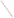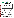#### **THE ENVIRONMENTAL TECHNOLOGY VERIFICATION PROGRAM**







# **ETV Joint Verification Statement**

|                             | TECHNOLOGY TYPE: IN SITU SEDIMENT TOXICITY TESTING           |                     |  |
|-----------------------------|--------------------------------------------------------------|---------------------|--|
| <b>APPLICATION:</b>         | SEDIMENT AND AQUEOUS TOXICITY TESTING                        |                     |  |
|                             | <b>TECHNOLOGY NAME: Sediment Ecotoxicity Assessment Ring</b> |                     |  |
| <b>COMPANY:</b>             | <b>Space and Naval Warfare Systems Center</b>                |                     |  |
| <b>ADDRESS:</b>             | <b>53475 Strothe Rd.</b><br>San Diego, CA 92152              | PHONE: 619-553-0886 |  |
| <b>WEB SITE:</b><br>E-MAIL: | http://environ.spawar.navy.mil/<br>gunther.rosen@navy.mil    |                     |  |

The U.S. Environmental Protection Agency (EPA) has established the Environmental Technology Verification (ETV) Program to facilitate the deployment of innovative or improved environmental technologies through performance verification and dissemination of information. The goal of the ETV Program is to further environmental protection by accelerating the acceptance and use of improved and cost-effective technologies. ETV seeks to achieve this goal by providing high-quality, peer-reviewed data on technology performance to those involved in the design, distribution, financing, permitting, purchase, and use of environmental technologies. Information and ETV documents are available at www.epa.gov/etv.

ETV works in partnership with recognized standards and testing organizations, with stakeholder groups (consisting of buyers, vendor organizations, and permitters), and with individual technology developers. The program evaluates the performance of innovative technologies by developing test plans that are responsive to the needs of stakeholders, conducting field and laboratory tests (as appropriate), collecting and analyzing data, and preparing peer-reviewed reports. All evaluations are conducted in accordance with rigorous quality assurance (QA) protocols to ensure that data of known and adequate quality are generated and that the results are defensible.

The Advanced Monitoring Systems (AMS) Center, one of six verification centers under ETV, is operated by Battelle in cooperation with EPA's National Risk Management Research Laboratory. The AMS Center evaluated the performance of a sediment toxicity testing device for in situ sediment toxicity testing. This verification statement provides a summary of the test results for the Space and Naval Warfare Systems Center Pacific (SPAWAR) Sediment Ecotoxicity Assessment Ring (SEA Ring) for determining the toxicity of contaminated sediment and overlying water on benthic and aqueous organisms.

# **VERIFICATION TEST DESCRIPTION**

This verification testing of the SEA Ring was conducted in two rounds, initially from November 16 through December 7, 2012, while the second round was conducted in March 2013 at the SPAWAR Systems Center (SSC) Pacific Bioassay Laboratory in San Diego, CA. The primary evaluation assessed survival, growth, and bioaccumulation of contaminants in the aquatic and benthic organisms exposed in the SEA Ring compared to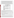responses achieved in the laboratory using standard ASTM and EPA methods. For the water column toxicity tests, two organisms (Pacific topsmelt [*Atherinops affinis*] and mysid shrimp [*Americamysis bahia*]) were evaluated at four different copper concentrations (0, 100, 200 and 400 µg/L). For the sediment toxicity tests, three different species (bent-nosed clam [*Macoma nasuta*], marine amphipod [*Eohaustorius estuarius*]*,* and marine polychaete [*Neanthes arenaceodentata*]) were tested for sediment toxicity and bioaccumulation. Four sediment types (two control sediments, a metals contaminated sediment [MS] and a polychlorinated biphenyl [PCB] contaminated sediment [PSNS]) were used for the sediment toxicity tests. The PSNS sediment was included for bioaccumulation testing. The clam was not exposed to the MS sediment. Simultaneous reference toxicant tests were conducted with copper sulfate at five different concentrations to assess test precision and the health and sensitivity of each batch of test organisms. Clams were not included in the reference toxicant tests. Table VS-1 provides information on the number of organisms and number of replicates included for each test.

| Table vs I: Toxicity Test Summary |                           |                               |                                  |  |
|-----------------------------------|---------------------------|-------------------------------|----------------------------------|--|
|                                   | # of<br><b>Replicates</b> | # of Organisms<br>per Chamber | <b>Exposure</b><br>Period (days) |  |
| <b>Water Column Toxicity Test</b> |                           |                               |                                  |  |
| <b>Mysid Shrimp</b>               | 5                         | 10                            | 4                                |  |
| <b>Topsmelt</b>                   | 5                         | 5                             | 4                                |  |
| <b>Sediment Toxicity Test</b>     |                           |                               |                                  |  |
| Amphipod                          | 5                         | 20                            | 10                               |  |
| <b>Clam</b>                       | 5                         | 3                             | 14                               |  |
| Polychaete                        |                           | 20                            | 20                               |  |
| <b>Reference Toxicant Test</b>    |                           |                               |                                  |  |
| <b>Mysid Shrimp</b>               | 5                         | 10                            |                                  |  |
| <b>Topsmelt</b>                   | 5                         | 5                             | 4                                |  |
| Amphipod                          | 3                         | 10                            | 4                                |  |
| Polychaete                        | 3                         | 10                            |                                  |  |

### **Table VS-1. Toxicity Test Summary**

Test acceptability criteria were used to evaluate each of the parameters measured in the water column and sediment toxicity tests. Survival was considered acceptable when the mean survival among the replicates was  $\geq$  90%. If the mean percent survival was less than 90%, the test was repeated. For comparison of the mean percent survival among the replicates, a coefficient of variation of less than 25% was targeted. For the reference toxicant tests, the laboratory tests were considered acceptable if the LC50 was within  $\pm$  two standard deviations of the running mean for the testing laboratory.

The main objective of this verification test was to generate performance data on the SEA Ring for assessing water column toxicity, contaminated sediment toxicity, and bioaccumulation potential using indigenous organisms. The performance of the SEA Ring was evaluated against traditionally used EPA and ASTM methods. The SEA Ring tests were evaluated on the following performance parameters:

- Repeatability the variability in biological response among the five replicate exposure chambers in a SEA Ring.
- Comparability comparison between results obtained from tests in the SEA Ring and traditional EPA and ASTM laboratory methods.
- Intra-unit Reproducibility to determine if different SEA Rings are capable of producing the same results.
- Operational factors (qualitative assessment) ease of use, training and sustainability (sampling time, waste produced, and the amount of protective equipment required by the individual operating the technology).

The SEA Ring was operated according to the SEA Ring manual and the technology representative's instructions by SPAWAR and Battelle staff. The technology representative was available to answer questions and provide support. QA oversight of verification testing was provided by Battelle, AMEC Environment and Infrastructure,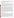and EPA. Battelle and AMEC QA staff conducted technical systems audits of all laboratory testing, and Battelle QA staff conducted a data quality audit of at least 10% of the test data. This verification statement, the full report on which it is based, and the test/QA plan for this verification test are available at http://www.epa.gov/nrmrl/std/etv/verifiedtechnologies.html#site.

# **TECHNOLOGY DESCRIPTION**

The following is a description of the technology, based on information provided by the technology representative. The information provided below was not verified in this test.

The SEA Ring (U.S. Patent No. 8,011,239) is an integrated, field tested, toxicity and bioavailability assessment device. This device was developed at SPAWAR in San Diego, California and is commercially available from Zebra-Tech, Ltd. The unit consists of 10 cylindrical chambers fixed to a circular ultra-high molecular weight polyethylene platform. The top end of each chamber is fitted with an integrated, multifunctional cap. The cap includes both overlying water intake and outlet ports, and an organism delivery port (opening for an optional modified plastic 30 cubic centimeter [cc] syringe). The intake port connects to a peristaltic pump that is housed in the center of the device and powered by rechargeable batteries stored in a separate housing underneath the pump. The pump is programmable to provide chamber water volume exchange at a rate (range  $\sim$  6 to  $>$  50 turnovers per day) desired for the site- or project-specific preferences.

The SEA Ring was designed to evaluate toxicity in the water column (WC), sediment water interface (SWI), and/or surficial sediment (SED). The SED chambers are open on the bottom, 10 inches in length, 2.75 inches in diameter, and extend 5 inches below the base of the system. Small sediment dwelling organisms can be introduced into the SED chambers through the organism delivery port built into the cap with a modified 30 cc plastic syringe. The syringe is plugged with a silicone stopper inside the test chamber to retain the organisms until desired release. For larger organisms, a ½ inch stainless steel mesh is integrated into the bottom opening of the exposure chamber, allowing organisms to be preloaded prior to deployment. The WC and SWI chambers are 5 inches in length, 2.75 inches in diameter, and have a closed bottom. The bottom consists of a solid plastic polyethylene cap or mesh insert for SWI testing. Organisms for the WC and SWI tests can be loaded in the laboratory or in the field immediately prior to deployment. The center of the circular platform houses a custombuilt peristaltic pump and battery. These components are fully encased and water tight. The intake to the test chambers is located on top of the cap. Each inlet is directly connected to the pump through individual tubes that pass over the pump roller. As the pump rotor turns, compressing and releasing pressure on the tubing, ambient water from the surrounding area is circulated through each chamber. Water then leaves each chamber through an outlet port also located in the cap. The inlet and outlet ports house small screens to prevent the loss of organisms from the chamber. A water quality sensor or passive sampler can also be attached to one of the chambers. Water quality sensors are used to measure a variety of physical parameters including pH, temperature, depth, salinity, conductivity, and dissolved oxygen from inside the exposure chambers.

# **VERIFICATION RESULTS**

The verification of the SEA Ring is summarized below.

# *Repeatability*

This verification parameter tested the variability among five replicates within a SEA Ring using both the sediment and WC toxicity tests. To determine standard deviation and standard error of the sample mean for a given set of treatments, the coefficient of variation (CV) was calculated. A CV of less than 25% was targeted. For the WC toxicity tests, the CV was less than 25% for the control treatments for both the mysid and topsmelt tests. For the mysid toxicity test, the 200 and 400  $\mu$ g/L treatments had CV values greater than 25%. For the topsmelt toxicity test, all copper concentrations greater than  $0 \mu g/L$  (control) had CVs greater than 25%. With increasing copper concentrations, organism mortality increased as did replicate variability, which was (and is typically) observed in the parallel standard laboratory tests. For the sediment toxicity tests, the CV was less than 25% for survival (and growth for the polychaete) for all species and all sediment types, indicating low variability across chambers within the SEA Ring for a given treatment. The CV was also less than 25% for growth of polychaete in both the control and contaminated sediments. Bioaccumulation was also determined and there was no detectable bioaccumulation for any species under the control sediment treatment.